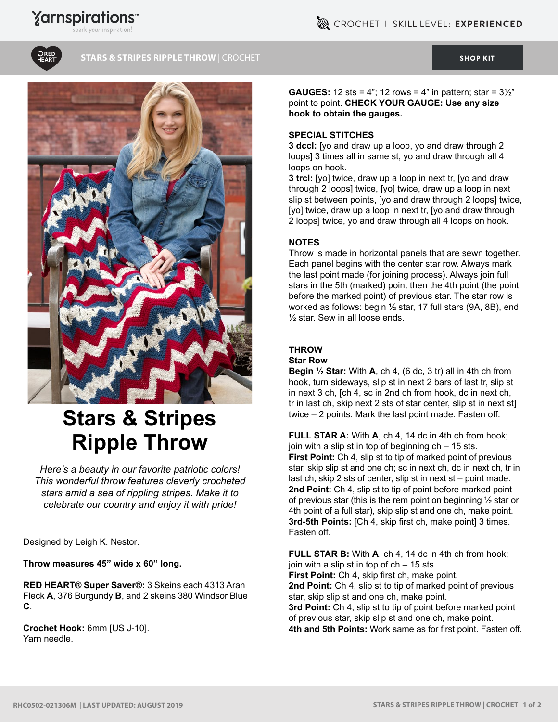## **Yarnspirations**





**STARS & STRIPES RIPPLE THROW |** CROCHET [SHOP KIT](https://www.yarnspirations.com/red-heart-stars---stripes-ripple-throw/RHC0502-021306M.html#utm_source=pdf-yarnspirations&utm_medium=referral&utm_campaign=pdf-RHC0502-021306M) SHOP KIT SHOP KIT



# **Stars & Stripes Ripple Throw**

*Here's a beauty in our favorite patriotic colors! This wonderful throw features cleverly crocheted stars amid a sea of rippling stripes. Make it to celebrate our country and enjoy it with pride!*

Designed by Leigh K. Nestor.

**Throw measures 45" wide x 60" long.**

**RED HEART® Super Saver®:** 3 Skeins each 4313 Aran Fleck **A**, 376 Burgundy **B**, and 2 skeins 380 Windsor Blue **C**.

**Crochet Hook:** 6mm [US J-10]. Yarn needle.

**GAUGES:** 12 sts = 4"; 12 rows = 4" in pattern; star =  $3\frac{1}{2}$ " point to point. **CHECK YOUR GAUGE: Use any size hook to obtain the gauges.**

#### **SPECIAL STITCHES**

**3 dccl:** [yo and draw up a loop, yo and draw through 2 loops] 3 times all in same st, yo and draw through all 4 loops on hook.

**3 trcl:** [yo] twice, draw up a loop in next tr, [yo and draw through 2 loops] twice, [yo] twice, draw up a loop in next slip st between points, [yo and draw through 2 loops] twice, [yo] twice, draw up a loop in next tr, [yo and draw through 2 loops] twice, yo and draw through all 4 loops on hook.

#### **NOTES**

Throw is made in horizontal panels that are sewn together. Each panel begins with the center star row. Always mark the last point made (for joining process). Always join full stars in the 5th (marked) point then the 4th point (the point before the marked point) of previous star. The star row is worked as follows: begin ½ star, 17 full stars (9A, 8B), end ½ star. Sew in all loose ends.

### **THROW**

#### **Star Row**

**Begin ½ Star:** With **A**, ch 4, (6 dc, 3 tr) all in 4th ch from hook, turn sideways, slip st in next 2 bars of last tr, slip st in next 3 ch, [ch 4, sc in 2nd ch from hook, dc in next ch, tr in last ch, skip next 2 sts of star center, slip st in next st] twice – 2 points. Mark the last point made. Fasten off.

**FULL STAR A:** With **A**, ch 4, 14 dc in 4th ch from hook; join with a slip st in top of beginning  $ch - 15$  sts. First Point: Ch 4, slip st to tip of marked point of previous star, skip slip st and one ch; sc in next ch, dc in next ch, tr in last ch, skip 2 sts of center, slip st in next st – point made. **2nd Point:** Ch 4, slip st to tip of point before marked point of previous star (this is the rem point on beginning ½ star or 4th point of a full star), skip slip st and one ch, make point. **3rd-5th Points:** [Ch 4, skip first ch, make point] 3 times. Fasten off.

**FULL STAR B:** With **A**, ch 4, 14 dc in 4th ch from hook; join with a slip st in top of ch – 15 sts. **First Point:** Ch 4, skip first ch, make point. **2nd Point:** Ch 4, slip st to tip of marked point of previous star, skip slip st and one ch, make point. **3rd Point:** Ch 4, slip st to tip of point before marked point of previous star, skip slip st and one ch, make point. **4th and 5th Points:** Work same as for first point. Fasten off.